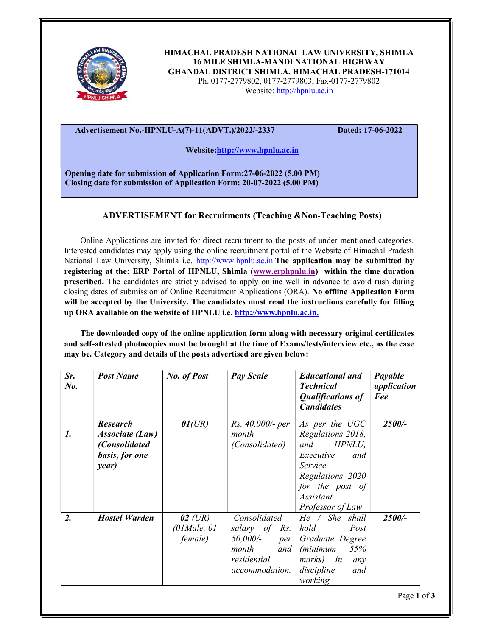

HIMACHAL PRADESH NATIONAL LAW UNIVERSITY, SHIMLA 16 MILE SHIMLA-MANDI NATIONAL HIGHWAY GHANDAL DISTRICT SHIMLA, HIMACHAL PRADESH-171014 Ph. 0177-2779802, 0177-2779803, Fax-0177-2779802 Website: http://hpnlu.ac.in

## Advertisement No.-HPNLU-A(7)-11(ADVT.)/2022/-2337 Dated: 17-06-2022

Website:http://www.hpnlu.ac.in

Opening date for submission of Application Form:27-06-2022 (5.00 PM) Closing date for submission of Application Form: 20-07-2022 (5.00 PM)

## ADVERTISEMENT for Recruitments (Teaching &Non-Teaching Posts)

Online Applications are invited for direct recruitment to the posts of under mentioned categories. Interested candidates may apply using the online recruitment portal of the Website of Himachal Pradesh National Law University, Shimla i.e. http://www.hpnlu.ac.in.The application may be submitted by registering at the: ERP Portal of HPNLU, Shimla (www.erphpnlu.in) within the time duration prescribed. The candidates are strictly advised to apply online well in advance to avoid rush during closing dates of submission of Online Recruitment Applications (ORA). No offline Application Form will be accepted by the University. The candidates must read the instructions carefully for filling up ORA available on the website of HPNLU i.e. http://www.hpnlu.ac.in.

The downloaded copy of the online application form along with necessary original certificates and self-attested photocopies must be brought at the time of Exams/tests/interview etc., as the case may be. Category and details of the posts advertised are given below:

| Sr.<br>$N_{0}$ . | <b>Post Name</b>                                                                      | No. of Post                                              | <b>Pay Scale</b>                                                                                  | <b>Educational and</b><br><b>Technical</b><br><b>Qualifications of</b><br><b>Candidates</b>                                                                 | Payable<br>application<br>Fee |
|------------------|---------------------------------------------------------------------------------------|----------------------------------------------------------|---------------------------------------------------------------------------------------------------|-------------------------------------------------------------------------------------------------------------------------------------------------------------|-------------------------------|
| 1.               | <b>Research</b><br><b>Associate (Law)</b><br>(Consolidated<br>basis, for one<br>year) | 01(UR)                                                   | Rs. 40,000/- per<br>month<br>(Consolidated)                                                       | As per the UGC<br>Regulations 2018,<br>HPNLU,<br>and<br>Executive<br>and<br>Service<br>Regulations 2020<br>for the post of<br>Assistant<br>Professor of Law | 2500/-                        |
| $\overline{2}$ . | Hostel Warden                                                                         | $02$ (UR)<br>$(01$ <i>Male</i> , $01$<br><i>female</i> ) | Consolidated<br>salary of Rs.<br>50,000/-<br>per<br>month<br>and<br>residential<br>accommodation. | He / She shall<br>Post<br>hold<br>Graduate Degree<br>55%<br><i>(minimum</i> )<br>marks) in<br>any<br>discipline<br>and<br>working                           | 2500/-                        |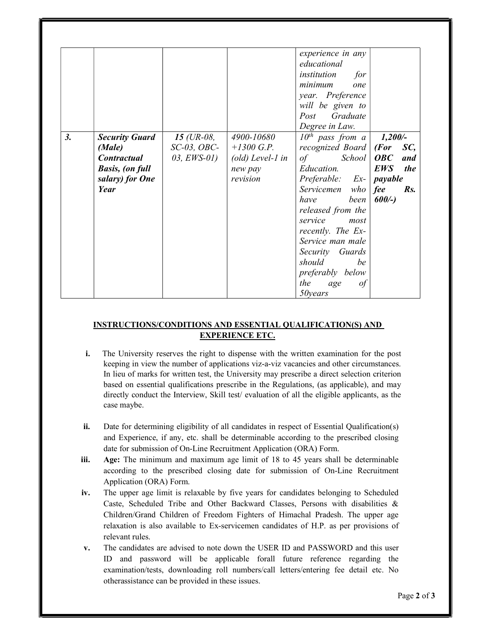|    |                                                                                                            |                                                 |                                                                                | experience in any<br>educational<br>institution<br>for<br>minimum<br>one<br>year. Preference<br>will be given to<br>Post Graduate<br>Degree in Law.                                                                                                                                                                            |                                                                                            |
|----|------------------------------------------------------------------------------------------------------------|-------------------------------------------------|--------------------------------------------------------------------------------|--------------------------------------------------------------------------------------------------------------------------------------------------------------------------------------------------------------------------------------------------------------------------------------------------------------------------------|--------------------------------------------------------------------------------------------|
| 3. | <b>Security Guard</b><br>(Male)<br><b>Contractual</b><br><b>Basis, (on full</b><br>salary) for One<br>Year | 15 (UR-08,<br>$SC-03$ , $OBC-$<br>$03, EWS-01)$ | 4900-10680<br>$+1300$ G.P.<br>$\text{old}$ ) Level-1 in<br>new pay<br>revision | $10^{th}$ pass from a<br>recognized Board   (For<br>of School<br><i>Education.</i><br>$Preferable: Ex-)$ payable<br>Servicemen who fee<br>been<br>have<br>released from the<br>service<br>most<br>recently. The Ex-<br>Service man male<br>Security Guards<br>should<br>be<br>preferably below<br>the<br>age<br>οt<br>50 years | 1,200/<br>SC,<br>$\bm{O}\bm{B}\bm{C}$<br>and<br><b>EWS</b><br><i>the</i><br>Rs.<br>$600/-$ |

## INSTRUCTIONS/CONDITIONS AND ESSENTIAL QUALIFICATION(S) AND EXPERIENCE ETC.

- i. The University reserves the right to dispense with the written examination for the post keeping in view the number of applications viz-a-viz vacancies and other circumstances. In lieu of marks for written test, the University may prescribe a direct selection criterion based on essential qualifications prescribe in the Regulations, (as applicable), and may directly conduct the Interview, Skill test/ evaluation of all the eligible applicants, as the case maybe.
- ii. Date for determining eligibility of all candidates in respect of Essential Qualification(s) and Experience, if any, etc. shall be determinable according to the prescribed closing date for submission of On-Line Recruitment Application (ORA) Form.
- iii. Age: The minimum and maximum age limit of 18 to 45 years shall be determinable according to the prescribed closing date for submission of On-Line Recruitment Application (ORA) Form.
- iv. The upper age limit is relaxable by five years for candidates belonging to Scheduled Caste, Scheduled Tribe and Other Backward Classes, Persons with disabilities & Children/Grand Children of Freedom Fighters of Himachal Pradesh. The upper age relaxation is also available to Ex-servicemen candidates of H.P. as per provisions of relevant rules.
- v. The candidates are advised to note down the USER ID and PASSWORD and this user ID and password will be applicable forall future reference regarding the examination/tests, downloading roll numbers/call letters/entering fee detail etc. No otherassistance can be provided in these issues.